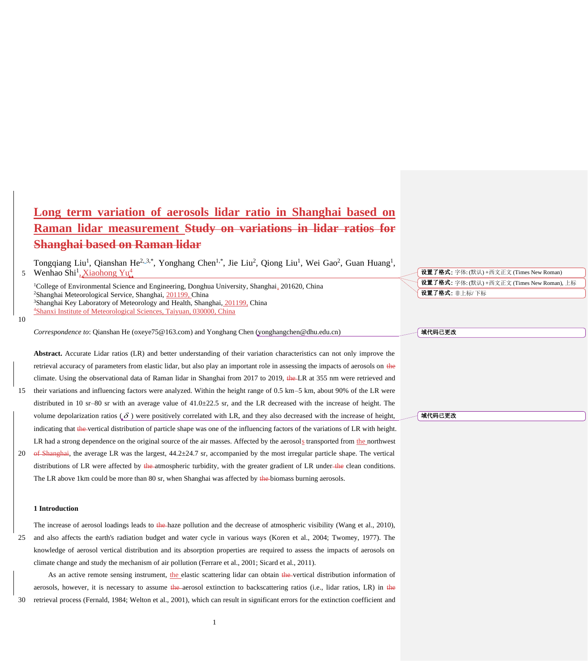# **Long term variation of aerosols lidar ratio in Shanghai based on Raman lidar measurement Study on variations in lidar ratios for Shanghai based on Raman lidar**

Tongqiang Liu<sup>1</sup>, Qianshan He<sup>2, 3,\*</sup>, Yonghang Chen<sup>1,\*</sup>, Jie Liu<sup>2</sup>, Qiong Liu<sup>1</sup>, Wei Gao<sup>2</sup>, Guan Huang<sup>1</sup>, Wenhao Shi<sup>1</sup>, Xiaohong Yu<sup>4</sup>

<sup>1</sup>College of Environmental Science and Engineering, Donghua University, Shanghai, 201620, China <sup>2</sup>Shanghai Meteorological Service, Shanghai, 201199, China <sup>3</sup>Shanghai Key Laboratory of Meteorology and Health, Shanghai, 201199, China <sup>4</sup>Shanxi Institute of Meteorological Sciences, Taiyuan, 030000, China

*Correspondence to*: Qianshan He (oxeye75@163.com) and Yonghang Chen [\(yonghangchen@dhu.edu.cn\)](mailto:yonghangchen@dhu.edu.cn)

**Abstract.** Accurate Lidar ratios (LR) and better understanding of their variation characteristics can not only improve the retrieval accuracy of parameters from elastic lidar, but also play an important role in assessing the impacts of aerosols on the climate. Using the observational data of Raman lidar in Shanghai from 2017 to 2019, the LR at 355 nm were retrieved and 15 their variations and influencing factors were analyzed. Within the height range of 0.5 km–5 km, about 90% of the LR were distributed in 10 sr–80 sr with an average value of 41.0±22.5 sr, and the LR decreased with the increase of height. The volume depolarization ratios  $(\delta)$  were positively correlated with LR, and they also decreased with the increase of height, indicating that the vertical distribution of particle shape was one of the influencing factors of the variations of LR with height. LR had a strong dependence on the original source of the air masses. Affected by the aerosols transported from the northwest 20 of Shanghai, the average LR was the largest,  $44.2\pm24.7$  sr, accompanied by the most irregular particle shape. The vertical distributions of LR were affected by the atmospheric turbidity, with the greater gradient of LR under the clean conditions.

The LR above 1km could be more than 80 sr, when Shanghai was affected by the biomass burning aerosols.

### **1 Introduction**

5

10

The increase of aerosol loadings leads to the haze pollution and the decrease of atmospheric visibility (Wang et al., 2010), 25 and also affects the earth's radiation budget and water cycle in various ways (Koren et al., 2004; Twomey, 1977). The knowledge of aerosol vertical distribution and its absorption properties are required to assess the impacts of aerosols on climate change and study the mechanism of air pollution (Ferrare et al., 2001; Sicard et al., 2011).

As an active remote sensing instrument, the elastic scattering lidar can obtain the vertical distribution information of aerosols, however, it is necessary to assume the aerosol extinction to backscattering ratios (i.e., lidar ratios, LR) in the 30 retrieval process (Fernald, 1984; Welton et al., 2001), which can result in significant errors for the extinction coefficient and

1

设置了格式: 字体: (默认) +西文正文 (Times New Roman) 设置了格式: 字体: (默认) +西文正文 (Times New Roman), 上标 设置了格式: 非上标/ 下标

#### 域代码已更改

域代码已更改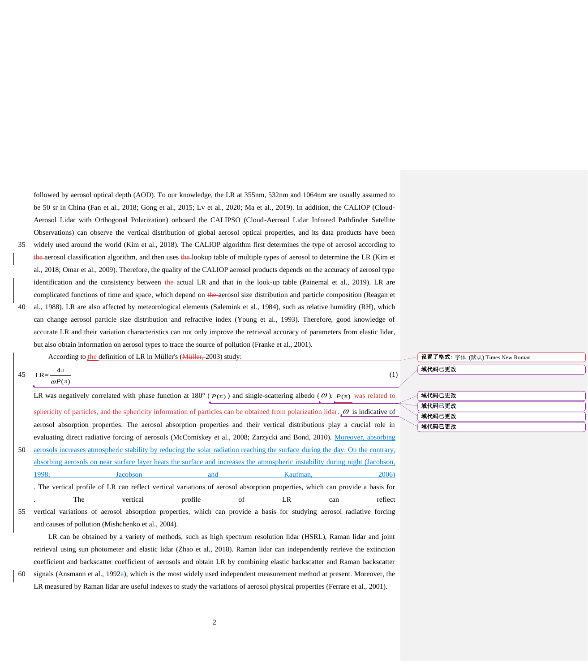followed by aerosol optical depth (AOD). To our knowledge, the LR at 355nm, 532nm and 1064nm are usually assumed to be 50 sr in China (Fan et al., 2018; Gong et al., 2015; Lv et al., 2020; Ma et al., 2019). In addition, the CALIOP (Cloud-Aerosol Lidar with Orthogonal Polarization) onboard the CALIPSO (Cloud-Aerosol Lidar Infrared Pathfinder Satellite Observations) can observe the vertical distribution of global aerosol optical properties, and its data products have been 35 widely used around the world (Kim et al., 2018). The CALIOP algorithm first determines the type of aerosol according to

the aerosol classification algorithm, and then uses the lookup table of multiple types of aerosol to determine the LR (Kim et al., 2018; Omar et al., 2009). Therefore, the quality of the CALIOP aerosol products depends on the accuracy of aerosol type identification and the consistency between the actual LR and that in the look-up table (Painemal et al., 2019). LR are complicated functions of time and space, which depend on the aerosol size distribution and particle composition (Reagan et 40 al., 1988). LR are also affected by meteorological elements (Salemink et al., 1984), such as relative humidity (RH), which can change aerosol particle size distribution and refractive index (Young et al., 1993). Therefore, good knowledge of accurate LR and their variation characteristics can not only improve the retrieval accuracy of parameters from elastic lidar, but also obtain information on aerosol types to trace the source of pollution (Franke et al., 2001).

According to the definition of LR in Müller's (Müller, 2003) study:

| $4\pi$                   |     |
|--------------------------|-----|
| 45 $LR = \frac{4\pi}{4}$ | (1) |

4 π

 $\omega P(\pi)$ 

LR was negatively correlated with phase function at  $180^\circ$  ( $P(\pi)$ ) and single-scattering albedo ( $\omega$ ).  $P(\pi)$  was related to sphericity of particles, and the sphericity information of particles can be obtained from polarization lidar.  $\omega$  is indicative of aerosol absorption properties. The aerosol absorption properties and their vertical distributions play a crucial role in evaluating direct radiative forcing of aerosols (McComiskey et al., 2008; Zarzycki and Bond, 2010). Moreover, absorbing 50 aerosols increases atmospheric stability by reducing the solar radiation reaching the surface during the day. On the contrary, absorbing aerosols on near surface layer heats the surface and increases the atmospheric instability during night (Jacobson, 1998; Jacobson and Kaufman, 2006) . The vertical profile of LR can reflect vertical variations of aerosol absorption properties, which can provide a basis for

55 vertical variations of aerosol absorption properties, which can provide a basis for studying aerosol radiative forcing and causes of pollution (Mishchenko et al., 2004).

. The vertical profile of LR can reflect

LR can be obtained by a variety of methods, such as high spectrum resolution lidar (HSRL), Raman lidar and joint retrieval using sun photometer and elastic lidar (Zhao et al., 2018). Raman lidar can independently retrieve the extinction coefficient and backscatter coefficient of aerosols and obtain LR by combining elastic backscatter and Raman backscatter 60 signals (Ansmann et al., 1992a), which is the most widely used independent measurement method at present. Moreover, the LR measured by Raman lidar are useful indexes to study the variations of aerosol physical properties (Ferrare et al., 2001).

## 设置了格式: 字体: (默认) Times New Roman 域代码已更改

| 域代码已更改 |
|--------|
| 域代码已更改 |
| 域代码已更改 |
| 域代码已更改 |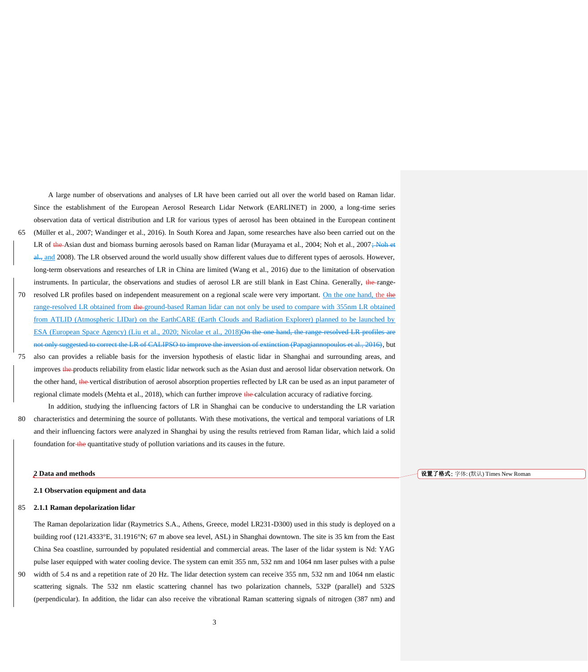A large number of observations and analyses of LR have been carried out all over the world based on Raman lidar. Since the establishment of the European Aerosol Research Lidar Network (EARLINET) in 2000, a long-time series observation data of vertical distribution and LR for various types of aerosol has been obtained in the European continent 65 (Müller et al., 2007; Wandinger et al., 2016). In South Korea and Japan, some researches have also been carried out on the LR of the Asian dust and biomass burning aerosols based on Raman lidar (Murayama et al., 2004; Noh et al., 2007; Noh et  $\frac{d}{dx}$  and 2008). The LR observed around the world usually show different values due to different types of aerosols. However, long-term observations and researches of LR in China are limited (Wang et al., 2016) due to the limitation of observation instruments. In particular, the observations and studies of aerosol LR are still blank in East China. Generally, the range-70 resolved LR profiles based on independent measurement on a regional scale were very important. On the one hand, the the range-resolved LR obtained from the ground-based Raman lidar can not only be used to compare with 355nm LR obtained from ATLID (Atmospheric LIDar) on the EarthCARE (Earth Clouds and Radiation Explorer) planned to be launched by ESA (European Space Agency) (Liu et al., 2020; Nicolae et al., 2018)On the one hand, the range-resolved LRnot only suggested to correct the LR of CALIPSO to improve the inversion of extinction (Papagiannopoulos et al., 2016), but

75 also can provides a reliable basis for the inversion hypothesis of elastic lidar in Shanghai and surrounding areas, and improves the products reliability from elastic lidar network such as the Asian dust and aerosol lidar observation network. On the other hand, the vertical distribution of aerosol absorption properties reflected by LR can be used as an input parameter of regional climate models (Mehta et al., 2018), which can further improve the calculation accuracy of radiative forcing.

In addition, studying the influencing factors of LR in Shanghai can be conducive to understanding the LR variation 80 characteristics and determining the source of pollutants. With these motivations, the vertical and temporal variations of LR and their influencing factors were analyzed in Shanghai by using the results retrieved from Raman lidar, which laid a solid foundation for the quantitative study of pollution variations and its causes in the future.

#### **2 Data and methods**

**2.1 Observation equipment and data**

#### 85 **2.1.1 Raman depolarization lidar**

The Raman depolarization lidar (Raymetrics S.A., Athens, Greece, model LR231-D300) used in this study is deployed on a building roof (121.4333°E, 31.1916°N; 67 m above sea level, ASL) in Shanghai downtown. The site is 35 km from the East China Sea coastline, surrounded by populated residential and commercial areas. The laser of the lidar system is Nd: YAG pulse laser equipped with water cooling device. The system can emit 355 nm, 532 nm and 1064 nm laser pulses with a pulse 90 width of 5.4 ns and a repetition rate of 20 Hz. The lidar detection system can receive 355 nm, 532 nm and 1064 nm elastic scattering signals. The 532 nm elastic scattering channel has two polarization channels, 532P (parallel) and 532S (perpendicular). In addition, the lidar can also receive the vibrational Raman scattering signals of nitrogen (387 nm) and 设置了格式: 字体: (默认) Times New Roman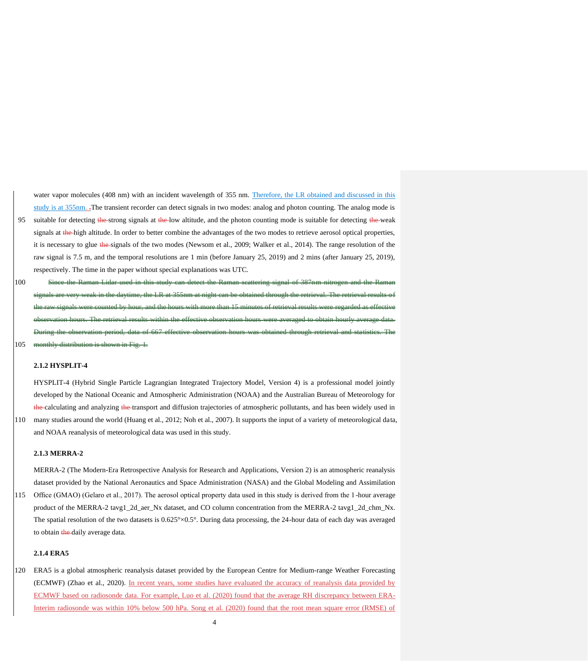water vapor molecules (408 nm) with an incident wavelength of 355 nm. Therefore, the LR obtained and discussed in this study is at 355nm. .The transient recorder can detect signals in two modes: analog and photon counting. The analog mode is 95 suitable for detecting the strong signals at the low altitude, and the photon counting mode is suitable for detecting the weak signals at the high altitude. In order to better combine the advantages of the two modes to retrieve aerosol optical properties, it is necessary to glue the signals of the two modes (Newsom et al., 2009; Walker et al., 2014). The range resolution of the raw signal is 7.5 m, and the temporal resolutions are 1 min (before January 25, 2019) and 2 mins (after January 25, 2019), respectively. The time in the paper without special explanations was UTC.

100 Since the Raman Lidar used in this study can detect the Raman scattering signal of 387nm nitrogen and the Raman in the daytime, the LR at 355nm at night can be obtained through the retrieval. The retrieval results of the raw signals were counted by hours with more than 15 minutes observation hours. The retrieval results within the effective observation hours were averaged to obtain hourly average data. During the observation period, data of 667 effective observation hours was obtained through retrieval and statistics. The 105 monthly distribution is shown in Fig.

## **2.1.2 HYSPLIT-4**

HYSPLIT-4 (Hybrid Single Particle Lagrangian Integrated Trajectory Model, Version 4) is a professional model jointly developed by the National Oceanic and Atmospheric Administration (NOAA) and the Australian Bureau of Meteorology for the calculating and analyzing the transport and diffusion trajectories of atmospheric pollutants, and has been widely used in 110 many studies around the world (Huang et al., 2012; Noh et al., 2007). It supports the input of a variety of meteorological data, and NOAA reanalysis of meteorological data was used in this study.

## **2.1.3 MERRA-2**

MERRA-2 (The Modern-Era Retrospective Analysis for Research and Applications, Version 2) is an atmospheric reanalysis dataset provided by the National Aeronautics and Space Administration (NASA) and the Global Modeling and Assimilation 115 Office (GMAO) (Gelaro et al., 2017). The aerosol optical property data used in this study is derived from the 1-hour average product of the MERRA-2 tavg1\_2d\_aer\_Nx dataset, and CO column concentration from the MERRA-2 tavg1\_2d\_chm\_Nx. The spatial resolution of the two datasets is  $0.625^{\circ} \times 0.5^{\circ}$ . During data processing, the 24-hour data of each day was averaged to obtain the daily average data.

## **2.1.4 ERA5**

120 ERA5 is a global atmospheric reanalysis dataset provided by the European Centre for Medium-range Weather Forecasting (ECMWF) (Zhao et al., 2020). In recent years, some studies have evaluated the accuracy of reanalysis data provided by ECMWF based on radiosonde data. For example, Luo et al. (2020) found that the average RH discrepancy between ERA-Interim radiosonde was within 10% below 500 hPa. Song et al. (2020) found that the root mean square error (RMSE) of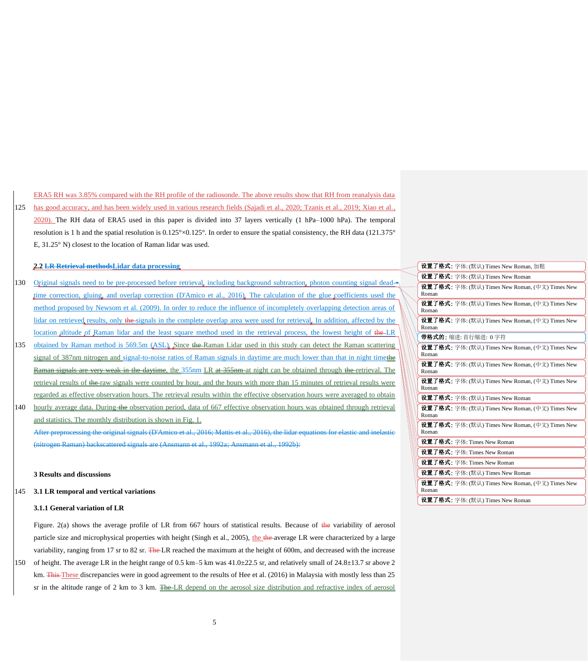ERA5 RH was 3.85% compared with the RH profile of the radiosonde. The above results show that RH from reanalysis data 125 has good accuracy, and has been widely used in various research fields (Sajadi et al., 2020; Tzanis et al., 2019; Xiao et al., 2020). The RH data of ERA5 used in this paper is divided into 37 layers vertically (1 hPa–1000 hPa). The temporal resolution is 1 h and the spatial resolution is 0.125°×0.125°. In order to ensure the spatial consistency, the RH data (121.375° E, 31.25°N) closest to the location of Raman lidar was used.

**2.2 LR Retrieval methodsLidar data processing**

- 130 Original signals need to be pre-processed before retrieval, including background subtraction, photon counting signal deadtime correction, gluing, and overlap correction (D'Amico et al., 2016). The calculation of the glue coefficients used the method proposed by Newsom et al. (2009). In order to reduce the influence of incompletely overlapping detection areas of lidar on retrieved results, only the signals in the complete overlap area were used for retrieval. In addition, affected by the location altitude of Raman lidar and the least square method used in the retrieval process, the lowest height of the LR
- 135 obtained by Raman method is 569.5m (ASL). Since the Raman Lidar used in this study can detect the Raman scattering signal of 387nm nitrogen and signal-to-noise ratios of Raman signals in daytime are much lower than that in night timethe Raman signals are very weak in the daytime, the 355nm LR at 355nm at night can be obtained through the retrieval. The retrieval results of the raw signals were counted by hour, and the hours with more than 15 minutes of retrieval results were regarded as effective observation hours. The retrieval results within the effective observation hours were averaged to obtain
- 140 hourly average data. During the observation period, data of 667 effective observation hours was obtained through retrieval and statistics. The monthly distribution is shown in Fig. 1. After preprocessing the original signals (D'Amico et al., 2016; Mattis et al., 2016), the lidar equations for elastic and inelastic (nitrogen Raman) backscattered signals are (Ansmann et al., 1992a; Ansmann et al., 1992b):

### **3 Results and discussions**

#### 145 **3.1 LR temporal and vertical variations**

#### **3.1.1 General variation of LR**

Figure. 2(a) shows the average profile of LR from 667 hours of statistical results. Because of the variability of aerosol particle size and microphysical properties with height (Singh et al., 2005), the the average LR were characterized by a large variability, ranging from 17 sr to 82 sr. The LR reached the maximum at the height of 600m, and decreased with the increase 150 of height. The average LR in the height range of 0.5 km–5 km was  $41.0\pm 22.5$  sr, and relatively small of  $24.8\pm 13.7$  sr above 2 km. This These discrepancies were in good agreement to the results of Hee et al. (2016) in Malaysia with mostly less than 25

| 设置了格式: 字体: (默认) Times New Roman, 加粗                             |
|-----------------------------------------------------------------|
| <b>设置了格式:</b> 字体: (默认) Times New Roman                          |
| <b>设置了格式:</b> 字体: (默认) Times New Roman, (中文) Times New          |
| Roman                                                           |
| <b>设置了格式:</b> 字体: (默认) Times New Roman, (中文) Times New<br>Roman |
| <b>设置了格式:</b> 字体: (默认) Times New Roman, (中文) Times New          |
| Roman                                                           |
| 带格式的:缩讲: 首行缩进: 0字符                                              |
| <b>设置了格式:</b> 字体: (默认) Times New Roman, (中文) Times New          |
| Roman                                                           |
| 设置了格式: 字体: (默认) Times New Roman, (中文) Times New                 |
| Roman                                                           |
| <b>设置了格式:</b> 字体: (默认) Times New Roman, (中文) Times New          |
| Roman                                                           |
| 设置了格式: 字体: (默认) Times New Roman                                 |
| <b>设置了格式:</b> 字体: (默认) Times New Roman, (中文) Times New          |
| Roman                                                           |
| <b>设置了格式:</b> 字体: (默认) Times New Roman, (中文) Times New          |
| Roman                                                           |
| 设置了格式: 字体: Times New Roman                                      |
| 设置了格式: 字体: Times New Roman                                      |
| <b>设置了格式:</b> 字体: Times New Roman                               |
| 设置了格式: 字体: (默认) Times New Roman                                 |
| <b>设置了格式:</b> 字体: (默认) Times New Roman, (中文) Times New          |
| Roman                                                           |
| 设置了格式: 字体: (默认) Times New Roman                                 |

sr in the altitude range of 2 km to 3 km. The LR depend on the aerosol size distribution and refractive index of aerosol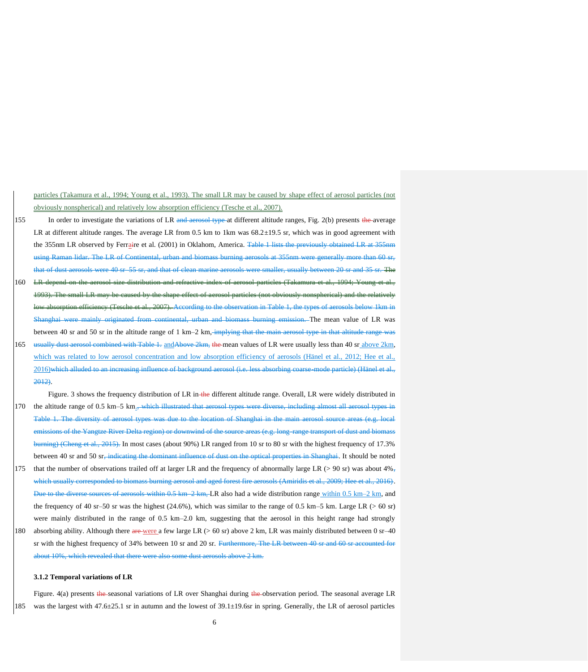particles (Takamura et al., 1994; Young et al., 1993). The small LR may be caused by shape effect of aerosol particles (not obviously nonspherical) and relatively low absorption efficiency (Tesche et al., 2007).

- 155 In order to investigate the variations of LR and aerosol type at different altitude ranges, Fig. 2(b) presents the average LR at different altitude ranges. The average LR from 0.5 km to 1km was  $68.2 \pm 19.5$  sr, which was in good agreement with the 355nm LR observed by Ferraire et al. (2001) in Oklahom, America. Table 1 lists the previously obtained LR at 355nm using Raman lidar. The LR of Continental, urban and biomass burning aerosols at 355nm were generally more than 60 sr, that of dust aerosols were 40 sr–55 sr, and that of clean marine aerosols were smaller, usually between 20 sr and 35 sr. The 160 LR depend on the aerosol size distribution and refractive index of aerosol particles (Takamura et al., 1994; Young et al.
- 1993). The small LR may be caused by the shape effect of aerosol particles (not obviously nonspherical) and the relatively efficiency (Tesche et al., 2007). According to the observation in Table 1, the types of aerosols below 1km in shai were mainly originated from continental, urban and biomass burning emission. The mean value of LR was between 40 sr and 50 sr in the altitude range of  $1 \text{ km}$ – $2 \text{ km}$ , implying that the main aerosol type
- 165 usually dust aerosol combined with Table 1. and Above 2km, the mean values of LR were usually less than 40 sr above 2km, which was related to low aerosol concentration and low absorption efficiency of aerosols (Hänel et al., 2012; Hee et al., 2016)which alluded to an increasing influence of background aerosol (i.e. less absorbing coarse-mode particle) (Hänel et al., 2012).

Figure. 3 shows the frequency distribution of LR in-the different altitude range. Overall, LR were widely distributed in 170 the altitude range of 0.5 km–5 km., which illustrated that aerosol types were diverse, including almost all aerosol types Table 1. The diversity of aerosol types was due to the location of Shanghai in the main aerosol source areas (e.g. local emissions of the Yangtze River Delta region) or downwind of the source areas (e.g. long-range transport of dust and biomass  $\frac{\text{bin}}{2}$  (Cheng et al., 2015). In most cases (about 90%) LR ranged from 10 sr to 80 sr with the highest frequency of 17.3% between 40 sr and 50 sr, indicating the dominant influence of dust on the optical properties in Shanghai. It should be noted

- 175 that the number of observations trailed off at larger LR and the frequency of abnormally large LR ( $>$  90 sr) was about 4%, which usually corresponded to biomass burning aerosol and aged forest fire aerosols (Amiridis et al., 2009; Hee et al., 2016).  $\frac{1}{28}$  of aerosols within 0.5 km–2 km, LR also had a wide distribution range within 0.5 km–2 km, and the frequency of 40 sr–50 sr was the highest (24.6%), which was similar to the range of 0.5 km–5 km. Large LR ( $> 60$  sr) were mainly distributed in the range of 0.5 km–2.0 km, suggesting that the aerosol in this height range had strongly
- 180 absorbing ability. Although there are were a few large LR ( $> 60$  sr) above 2 km, LR was mainly distributed between 0 sr–40 sr with the highest frequency of 34% between 10 sr and 20 sr. Furthermore, The LR between 40 sr and 60 sr accounted for about 10%, which revealed that there were also some dust aerosols above 2 km.

#### **3.1.2 Temporal variations of LR**

Figure. 4(a) presents the seasonal variations of LR over Shanghai during the observation period. The seasonal average LR 185 was the largest with 47.6±25.1 sr in autumn and the lowest of 39.1±19.6sr in spring. Generally, the LR of aerosol particles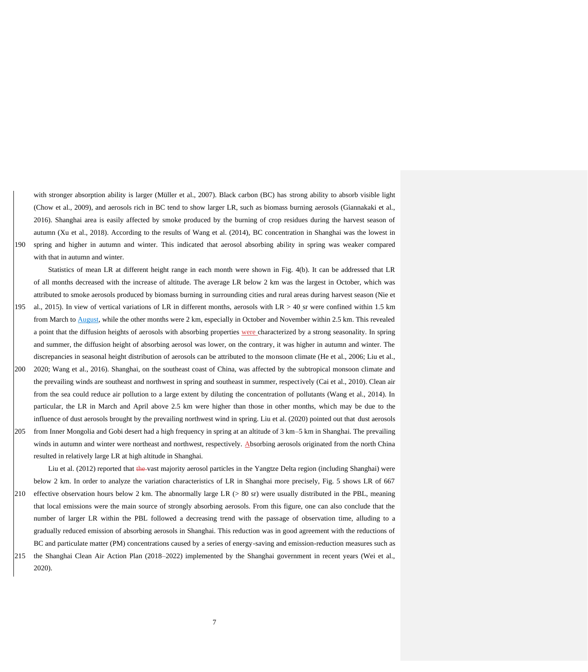with stronger absorption ability is larger (Müller et al., 2007). Black carbon (BC) has strong ability to absorb visible light (Chow et al., 2009), and aerosols rich in BC tend to show larger LR, such as biomass burning aerosols (Giannakaki et al., 2016). Shanghai area is easily affected by smoke produced by the burning of crop residues during the harvest season of autumn (Xu et al., 2018). According to the results of Wang et al. (2014), BC concentration in Shanghai was the lowest in 190 spring and higher in autumn and winter. This indicated that aerosol absorbing ability in spring was weaker compared with that in autumn and winter.

Statistics of mean LR at different height range in each month were shown in Fig. 4(b). It can be addressed that LR of all months decreased with the increase of altitude. The average LR below 2 km was the largest in October, which was attributed to smoke aerosols produced by biomass burning in surrounding cities and rural areas during harvest season (Nie et

- 195 al., 2015). In view of vertical variations of LR in different months, aerosols with LR  $> 40$  sr were confined within 1.5 km from March to August, while the other months were 2 km, especially in October and November within 2.5 km. This revealed a point that the diffusion heights of aerosols with absorbing properties were characterized by a strong seasonality. In spring and summer, the diffusion height of absorbing aerosol was lower, on the contrary, it was higher in autumn and winter. The discrepancies in seasonal height distribution of aerosols can be attributed to the monsoon climate (He et al., 2006; Liu et al.,
- 200 2020; Wang et al., 2016). Shanghai, on the southeast coast of China, was affected by the subtropical monsoon climate and the prevailing winds are southeast and northwest in spring and southeast in summer, respectively (Cai et al., 2010). Clean air from the sea could reduce air pollution to a large extent by diluting the concentration of pollutants (Wang et al., 2014). In particular, the LR in March and April above 2.5 km were higher than those in other months, which may be due to the influence of dust aerosols brought by the prevailing northwest wind in spring. Liu et al. (2020) pointed out that dust aerosols 205 from Inner Mongolia and Gobi desert had a high frequency in spring at an altitude of 3 km–5 km in Shanghai. The prevailing winds in autumn and winter were northeast and northwest, respectively. Absorbing aerosols originated from the north China resulted in relatively large LR at high altitude in Shanghai.

Liu et al. (2012) reported that the vast majority aerosol particles in the Yangtze Delta region (including Shanghai) were below 2 km. In order to analyze the variation characteristics of LR in Shanghai more precisely, Fig. 5 shows LR of 667 210 effective observation hours below 2 km. The abnormally large LR (> 80 sr) were usually distributed in the PBL, meaning that local emissions were the main source of strongly absorbing aerosols. From this figure, one can also conclude that the number of larger LR within the PBL followed a decreasing trend with the passage of observation time, alluding to a gradually reduced emission of absorbing aerosols in Shanghai. This reduction was in good agreement with the reductions of BC and particulate matter (PM) concentrations caused by a series of energy-saving and emission-reduction measures such as

215 the Shanghai Clean Air Action Plan (2018–2022) implemented by the Shanghai government in recent years (Wei et al., 2020).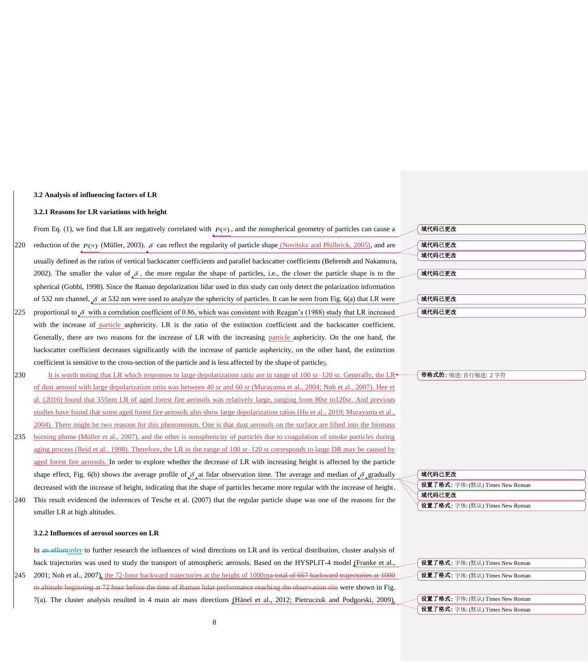## **3.2 Analysis of influencing factors of LR**

#### **3.2.1 Reasons for LR variations with height**

From Eq. (1), we find that LR are negatively correlated with  $P(\pi)$ , and the nonspherical geometry of particles can cause a 220 reduction of the  $P(\pi)$  (Müller, 2003).  $\delta$  can reflect the regularity of particle shape (Novitsky and Philbrick, 2005), and are usually defined as the ratios of vertical backscatter coefficients and parallel backscatter coefficients (Behrendt and Nakamura, 2002). The smaller the value of  $\delta$ , the more regular the shape of particles, i.e., the closer the particle shape is to the spherical (Gobbi, 1998). Since the Raman depolarization lidar used in this study can only detect the polarization information of 532 nm channel,  $\delta$  at 532 nm were used to analyze the sphericity of particles. It can be seen from Fig. 6(a) that LR were 225 proportional to  $\delta$  with a correlation coefficient of 0.86, which was consistent with Reagan's (1988) study that LR increased with the increase of particle asphericity. LR is the ratio of the extinction coefficient and the backscatter coefficient. Generally, there are two reasons for the increase of LR with the increasing particle asphericity. On the one hand, the

backscatter coefficient decreases significantly with the increase of particle asphericity, on the other hand, the extinction coefficient is sensitive to the cross-section of the particle and is less affected by the shape of particles. 230 It is worth noting that LR which responses to large depolarization ratio are in range of 100 sr–120 sr. Generally, the LR

- of dust aerosol with large depolarization ratio was between 40 sr and 60 sr (Murayama et al., 2004; Noh et al., 2007). Hee et al. (2016) found that 355nm LR of aged forest fire aerosols was relatively large, ranging from 80sr to120sr. And previous studies have found that some aged forest fire aerosols also show large depolarization ratios (Hu et al., 2019; Murayama et al., 2004). There might be two reasons for this phenomenon. One is that dust aerosols on the surface are lifted into the biomass 235 burning plume (Müller et al., 2007), and the other is nonsphericity of particles due to coagulation of smoke particles during
- aging process (Reid et al., 1998). Therefore, the LR in the range of 100 sr–120 sr corresponds to large DR may be caused by aged forest fire aerosols. In order to explore whether the decrease of LR with increasing height is affected by the particle shape effect, Fig. 6(b) shows the average profile of  $\delta$ , at lidar observation time. The average and median of  $\delta$  gradually decreased with the increase of height, indicating that the shape of particles became more regular with the increase of height.
- 240 This result evidenced the inferences of Tesche et al. (2007) that the regular particle shape was one of the reasons for the smaller LR at high altitudes.

#### **3.2.2 Influences of aerosol sources on LR**

In an effortorder to further research the influences of wind directions on LR and its vertical distribution, cluster analysis of back trajectories was used to study the transport of atmospheric aerosols. Based on the HYSPLIT-4 model (Franke et al., 245 2001; Noh et al., 2007), the 72-hour backward trajectories at the height of 1000ma total of 667 backward trajectories at 1000 m altitude beginning at 72 hour before the time of Raman lidar performance reaching the observation site were shown in Fig. 7(a). The cluster analysis resulted in 4 main air mass directions (Hänel et al., 2012; Pietruczuk and Podgorski, 2009).

| 域代码已更改 |  |
|--------|--|
|        |  |
| 域代码已更改 |  |
| 域代码已更改 |  |
|        |  |
| 域代码已更改 |  |
|        |  |
|        |  |
| 域代码已更改 |  |
|        |  |
| 域代码已更改 |  |
|        |  |

带格式的: 缩进: 首行缩进: 2 字符

| 域代码已更改                          |  |
|---------------------------------|--|
| 设置了格式: 字体: (默认) Times New Roman |  |
| 域代码已更改                          |  |
| 设置了格式: 字体: (默认) Times New Roman |  |

|  | 设置了格式: 字体: (默认) Times New Roman |  |
|--|---------------------------------|--|
|  | 设置了格式: 字体: (默认) Times New Roman |  |
|  |                                 |  |
|  | 设置了格式: 字体: (默认) Times New Roman |  |
|  | 设置了格式: 字体: (默认) Times New Roman |  |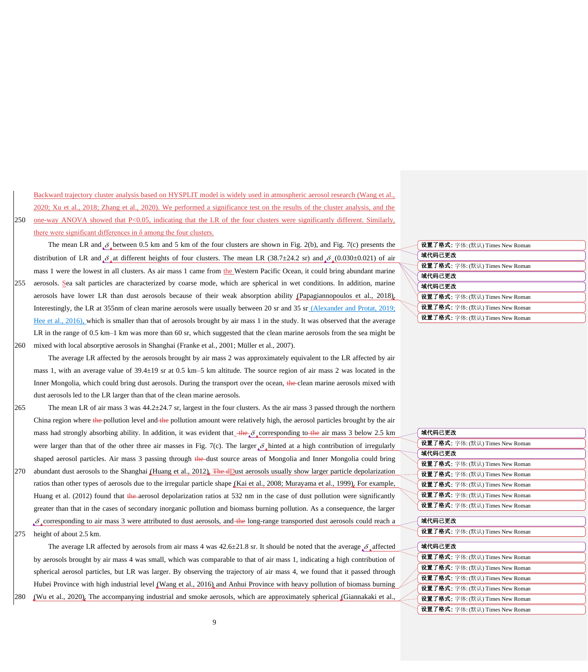Backward trajectory cluster analysis based on HYSPLIT model is widely used in atmospheric aerosol research (Wang et al., 2020; Xu et al., 2018; Zhang et al., 2020). We performed a significance test on the results of the cluster analysis, and the 250 one-way ANOVA showed that P<0.05, indicating that the LR of the four clusters were significantly different. Similarly, there were significant differences in  $\delta$  among the four clusters.

The mean LR and  $\delta_{\mu}$  between 0.5 km and 5 km of the four clusters are shown in Fig. 2(b), and Fig. 7(c) presents the distribution of LR and  $\delta_{\mu}$  at different heights of four clusters. The mean LR (38.7±24.2 sr) and  $\delta_{\mu}$  (0.030±0.021) of air mass 1 were the lowest in all clusters. As air mass 1 came from the Western Pacific Ocean, it could bring abundant marine 255 aerosols. Sea salt particles are characterized by coarse mode, which are spherical in wet conditions. In addition, marine aerosols have lower LR than dust aerosols because of their weak absorption ability (Papagiannopoulos et al., 2018). Interestingly, the LR at 355nm of clean marine aerosols were usually between 20 sr and 35 sr (Alexander and Protat, 2019; Hee et al., 2016), which is smaller than that of aerosols brought by air mass 1 in the study. It was observed that the average LR in the range of 0.5 km–1 km was more than 60 sr, which suggested that the clean marine aerosols from the sea might be

260 mixed with local absorptive aerosols in Shanghai (Franke et al., 2001; Müller et al., 2007).

The average LR affected by the aerosols brought by air mass 2 was approximately equivalent to the LR affected by air mass 1, with an average value of 39.4±19 sr at 0.5 km–5 km altitude. The source region of air mass 2 was located in the Inner Mongolia, which could bring dust aerosols. During the transport over the ocean, the clean marine aerosols mixed with dust aerosols led to the LR larger than that of the clean marine aerosols.

265 The mean LR of air mass 3 was  $44.2 \pm 24.7$  sr, largest in the four clusters. As the air mass 3 passed through the northern China region where the pollution level and the pollution amount were relatively high, the aerosol particles brought by the air mass had strongly absorbing ability. In addition, it was evident that  $\frac{4\hbar}{c} \delta$  corresponding to  $\frac{4\hbar}{c}$  air mass 3 below 2.5 km were larger than that of the other three air masses in Fig. 7(c). The larger  $\delta$  hinted at a high contribution of irregularly shaped aerosol particles. Air mass 3 passing through the dust source areas of Mongolia and Inner Mongolia could bring

- $270$  abundant dust aerosols to the Shanghai (Huang et al., 2012). The dDust aerosols usually show larger particle depolarization ratios than other types of aerosols due to the irregular particle shape (Kai et al., 2008; Murayama et al., 1999). For example, Huang et al. (2012) found that the aerosol depolarization ratios at 532 nm in the case of dust pollution were significantly greater than that in the cases of secondary inorganic pollution and biomass burning pollution. As a consequence, the larger  $\delta$  corresponding to air mass 3 were attributed to dust aerosols, and the long-range transported dust aerosols could reach a
- 275 height of about 2.5 km.

The average LR affected by aerosols from air mass 4 was  $42.6 \pm 21.8$  sr. It should be noted that the average  $\delta$  affected by aerosols brought by air mass 4 was small, which was comparable to that of air mass 1, indicating a high contribution of spherical aerosol particles, but LR was larger. By observing the trajectory of air mass 4, we found that it passed through Hubei Province with high industrial level (Wang et al., 2016) and Anhui Province with heavy pollution of biomass burning 280 (Wu et al., 2020). The accompanying industrial and smoke aerosols, which are approximately spherical (Giannakaki et al.

| 设置了格式: 字体: (默认) Times New Roman |
|---------------------------------|
| 域代码已更改                          |
| 设置了格式: 字体: (默认) Times New Roman |
| 域代码已更改                          |
| 域代码已更改                          |
| 设置了格式: 字体: (默认) Times New Roman |
| 设置了格式: 字体: (默认) Times New Roman |
| 设置了格式: 字体: (默认) Times New Roman |
|                                 |

| 域代码已更改                                 |
|----------------------------------------|
| <b>设置了格式:</b> 字体: (默认) Times New Roman |
| 域代码已更改                                 |
| <b>设置了格式:</b> 字体: (默认) Times New Roman |
| 设置了格式: 字体: (默认) Times New Roman        |
| 设置了格式: 字体: (默认) Times New Roman        |
| 设置了格式: 字体: (默认) Times New Roman        |
| <b>设置了格式:</b> 字体: (默认) Times New Roman |
|                                        |
| 域代码已更改                                 |
| <b>设置了格式:</b> 字体: (默认) Times New Roman |
|                                        |
| 域代码已更改                                 |
| <b>设置了格式:</b> 字体: (默认) Times New Roman |
| 设置了格式: 字体: (默认) Times New Roman        |
| 设置了格式: 字体: (默认) Times New Roman        |
| <b>设置了格式:</b> 字体: (默认) Times New Roman |
| 设置了格式: 字体: (默认) Times New Roman        |
| 设置了格式: 字体: (默认) Times New Roman        |
|                                        |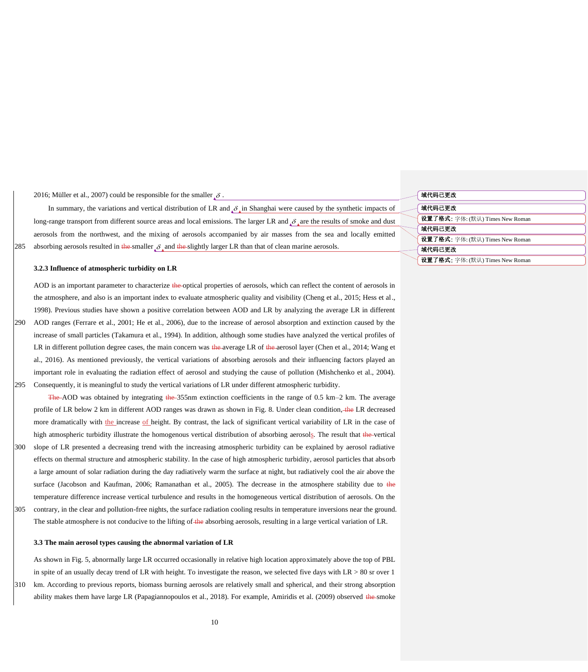2016; Müller et al., 2007) could be responsible for the smaller  $\delta$ .

In summary, the variations and vertical distribution of LR and  $\delta_{\mu}$  in Shanghai were caused by the synthetic impacts of long-range transport from different source areas and local emissions. The larger LR and  $\delta_{\lambda}$  are the results of smoke and dust aerosols from the northwest, and the mixing of aerosols accompanied by air masses from the sea and locally emitted 285 absorbing aerosols resulted in the smaller  $\delta$ , and the slightly larger LR than that of clean marine aerosols.

## **3.2.3 Influence of atmospheric turbidity on LR**

AOD is an important parameter to characterize the optical properties of aerosols, which can reflect the content of aerosols in the atmosphere, and also is an important index to evaluate atmospheric quality and visibility (Cheng et al., 2015; Hess et al., 1998). Previous studies have shown a positive correlation between AOD and LR by analyzing the average LR in different

290 AOD ranges (Ferrare et al., 2001; He et al., 2006), due to the increase of aerosol absorption and extinction caused by the increase of small particles (Takamura et al., 1994). In addition, although some studies have analyzed the vertical profiles of LR in different pollution degree cases, the main concern was the average LR of the aerosol layer (Chen et al., 2014; Wang et al., 2016). As mentioned previously, the vertical variations of absorbing aerosols and their influencing factors played an important role in evaluating the radiation effect of aerosol and studying the cause of pollution (Mishchenko et al., 2004). 295 Consequently, it is meaningful to study the vertical variations of LR under different atmospheric turbidity.

The AOD was obtained by integrating the 355nm extinction coefficients in the range of 0.5 km–2 km. The average profile of LR below 2 km in different AOD ranges was drawn as shown in Fig. 8. Under clean condition, the LR decreased more dramatically with the increase of height. By contrast, the lack of significant vertical variability of LR in the case of high atmospheric turbidity illustrate the homogenous vertical distribution of absorbing aerosols. The result that the vertical 300 slope of LR presented a decreasing trend with the increasing atmospheric turbidity can be explained by aerosol radiative effects on thermal structure and atmospheric stability. In the case of high atmospheric turbidity, aerosol particles that absorb a large amount of solar radiation during the day radiatively warm the surface at night, but radiatively cool the air above the surface (Jacobson and Kaufman, 2006; Ramanathan et al., 2005). The decrease in the atmosphere stability due to the temperature difference increase vertical turbulence and results in the homogeneous vertical distribution of aerosols. On the 305 contrary, in the clear and pollution-free nights, the surface radiation cooling results in temperature inversions near the ground. The stable atmosphere is not conducive to the lifting of the absorbing aerosols, resulting in a large vertical variation of LR.

#### **3.3 The main aerosol types causing the abnormal variation of LR**

As shown in Fig. 5, abnormally large LR occurred occasionally in relative high location approximately above the top of PBL in spite of an usually decay trend of LR with height. To investigate the reason, we selected five days with  $LR > 80$  sr over 1 310 km. According to previous reports, biomass burning aerosols are relatively small and spherical, and their strong absorption ability makes them have large LR (Papagiannopoulos et al., 2018). For example, Amiridis et al. (2009) observed the smoke

| 域代码已更改                          |
|---------------------------------|
| 域代码已更改                          |
| 设置了格式: 字体: (默认) Times New Roman |
| 域代码已更改                          |
| 设置了格式: 字体: (默认) Times New Roman |
| 域代码已更改                          |
| 设置了格式: 字体: (默认) Times New Roman |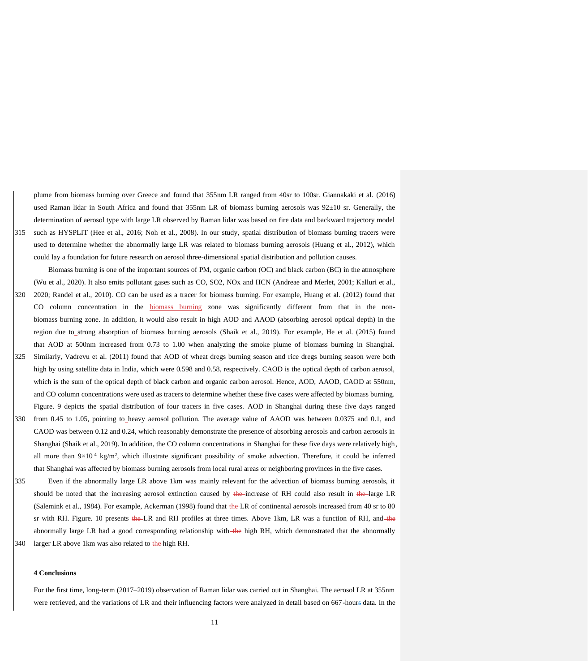plume from biomass burning over Greece and found that 355nm LR ranged from 40sr to 100sr. Giannakaki et al. (2016) used Raman lidar in South Africa and found that 355nm LR of biomass burning aerosols was  $92\pm10$  sr. Generally, the determination of aerosol type with large LR observed by Raman lidar was based on fire data and backward trajectory model 315 such as HYSPLIT (Hee et al., 2016; Noh et al., 2008). In our study, spatial distribution of biomass burning tracers were used to determine whether the abnormally large LR was related to biomass burning aerosols (Huang et al., 2012), which could lay a foundation for future research on aerosol three-dimensional spatial distribution and pollution causes.

Biomass burning is one of the important sources of PM, organic carbon (OC) and black carbon (BC) in the atmosphere (Wu et al., 2020). It also emits pollutant gases such as CO, SO2, NOx and HCN (Andreae and Merlet, 2001; Kalluri et al., 320 2020; Randel et al., 2010). CO can be used as a tracer for biomass burning. For example, Huang et al. (2012) found that CO column concentration in the biomass burning zone was significantly different from that in the nonbiomass burning zone. In addition, it would also result in high AOD and AAOD (absorbing aerosol optical depth) in the region due to strong absorption of biomass burning aerosols (Shaik et al., 2019). For example, He et al. (2015) found that AOD at 500nm increased from 0.73 to 1.00 when analyzing the smoke plume of biomass burning in Shanghai.

- 325 Similarly, Vadrevu et al. (2011) found that AOD of wheat dregs burning season and rice dregs burning season were both high by using satellite data in India, which were 0.598 and 0.58, respectively. CAOD is the optical depth of carbon aerosol. which is the sum of the optical depth of black carbon and organic carbon aerosol. Hence, AOD, AAOD, CAOD at 550nm, and CO column concentrations were used as tracers to determine whether these five cases were affected by biomass burning. Figure. 9 depicts the spatial distribution of four tracers in five cases. AOD in Shanghai during these five days ranged
- 330 from 0.45 to 1.05, pointing to heavy aerosol pollution. The average value of AAOD was between 0.0375 and 0.1, and CAOD was between 0.12 and 0.24, which reasonably demonstrate the presence of absorbing aerosols and carbon aerosols in Shanghai (Shaik et al., 2019). In addition, the CO column concentrations in Shanghai for these five days were relatively high, all more than  $9\times10^{-4}$  kg/m<sup>2</sup>, which illustrate significant possibility of smoke advection. Therefore, it could be inferred that Shanghai was affected by biomass burning aerosols from local rural areas or neighboring provinces in the five cases.
- 335 Even if the abnormally large LR above 1km was mainly relevant for the advection of biomass burning aerosols, it should be noted that the increasing aerosol extinction caused by the increase of RH could also result in the large LR (Salemink et al., 1984). For example, Ackerman (1998) found that the LR of continental aerosols increased from 40 sr to 80 sr with RH. Figure. 10 presents the LR and RH profiles at three times. Above 1km, LR was a function of RH, and the abnormally large LR had a good corresponding relationship with the high RH, which demonstrated that the abnormally 340 larger LR above 1km was also related to the high RH.

#### **4 Conclusions**

For the first time, long-term (2017–2019) observation of Raman lidar was carried out in Shanghai. The aerosol LR at 355nm were retrieved, and the variations of LR and their influencing factors were analyzed in detail based on 667-hours data. In the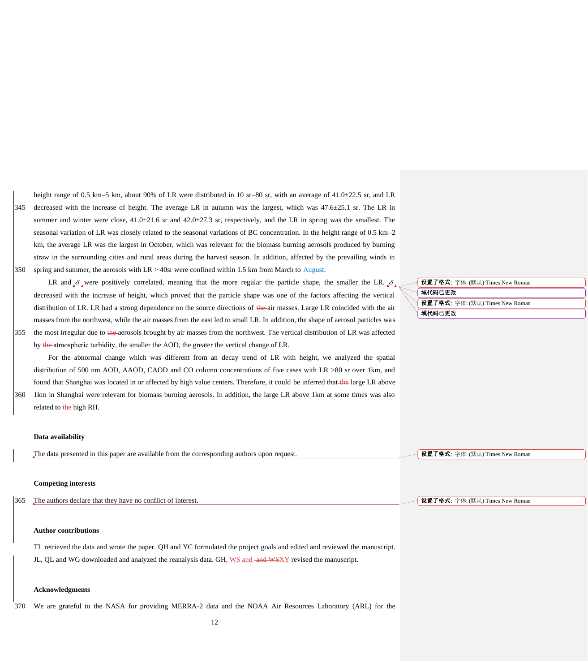height range of 0.5 km–5 km, about 90% of LR were distributed in 10 sr–80 sr, with an average of 41.0±22.5 sr, and LR 345 decreased with the increase of height. The average LR in autumn was the largest, which was 47.6±25.1 sr. The LR in summer and winter were close, 41.0±21.6 sr and 42.0±27.3 sr, respectively, and the LR in spring was the smallest. The seasonal variation of LR was closely related to the seasonal variations of BC concentration. In the height range of 0.5 km–2 km, the average LR was the largest in October, which was relevant for the biomass burning aerosols produced by burning straw in the surrounding cities and rural areas during the harvest season. In addition, affected by the prevailing winds in 350 spring and summer, the aerosols with  $LR > 40$ sr were confined within 1.5 km from March to  $\triangle$ ugust.

LR and  $\delta$  were positively correlated, meaning that the more regular the particle shape, the smaller the LR.  $\delta$ decreased with the increase of height, which proved that the particle shape was one of the factors affecting the vertical distribution of LR. LR had a strong dependence on the source directions of the air masses. Large LR coincided with the air masses from the northwest, while the air masses from the east led to small LR. In addition, the shape of aerosol particles was 355 the most irregular due to the aerosols brought by air masses from the northwest. The vertical distribution of LR was affected

by the atmospheric turbidity, the smaller the AOD, the greater the vertical change of LR.

For the abnormal change which was different from an decay trend of LR with height, we analyzed the spatial distribution of 500 nm AOD, AAOD, CAOD and CO column concentrations of five cases with LR >80 sr over 1km, and found that Shanghai was located in or affected by high value centers. Therefore, it could be inferred that the large LR above 360 1km in Shanghai were relevant for biomass burning aerosols. In addition, the large LR above 1km at some times was also related to the high RH.

#### **Data availability**

The data presented in this paper are available from the corresponding authors upon request.

## **Competing interests**

365 The authors declare that they have no conflict of interest.

## **Author contributions**

TL retrieved the data and wrote the paper. QH and YC formulated the project goals and edited and reviewed the manuscript. JL, OL and WG downloaded and analyzed the reanalysis data. GH, WS and -and WSXY revised the manuscript.

## **Acknowledgments**

370 We are grateful to the NASA for providing MERRA-2 data and the NOAA Air Resources Laboratory (ARL) for the

域代码已更改 设置了格式: 字体: (默认) Times New Roman 域代码已更改 设置了格式: 字体: (默认) Times New Roman

设置了格式: 字体: (默认) Times New Roman

设置了格式: 字体: (默认) Times New Roman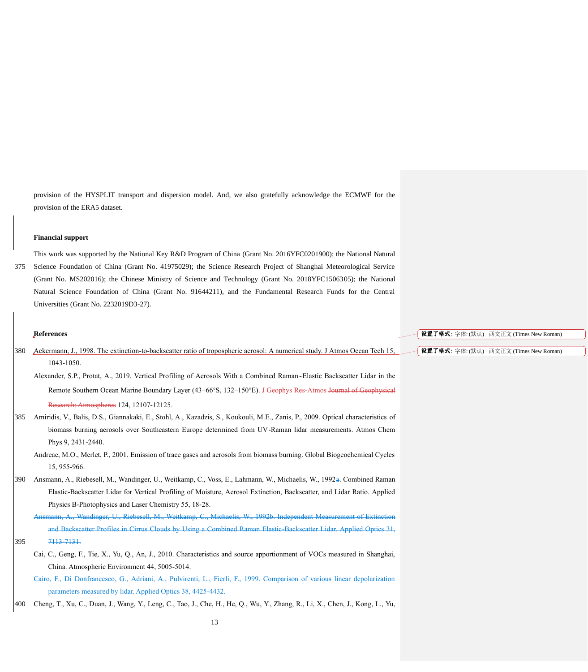provision of the HYSPLIT transport and dispersion model. And, we also gratefully acknowledge the ECMWF for the provision of the ERA5 dataset.

## **Financial support**

This work was supported by the National Key R&D Program of China (Grant No. 2016YFC0201900); the National Natural 375 Science Foundation of China (Grant No. 41975029); the Science Research Project of Shanghai Meteorological Service (Grant No. MS202016); the Chinese Ministry of Science and Technology (Grant No. 2018YFC1506305); the National Natural Science Foundation of China (Grant No. 91644211), and the Fundamental Research Funds for the Central Universities (Grant No. 2232019D3-27).

|     | References                                                                                                                                | 设置了格式: 字体: (默认) +西文正文 (Times New Roman) |
|-----|-------------------------------------------------------------------------------------------------------------------------------------------|-----------------------------------------|
| 380 | Ackermann, J., 1998. The extinction-to-backscatter ratio of tropospheric aerosol: A numerical study. J Atmos Ocean Tech 15,<br>1043-1050. | 设置了格式: 字体: (默认) +西文正文 (Times New Roman) |
|     | Alexander, S.P., Protat, A., 2019. Vertical Profiling of Aerosols With a Combined Raman-Elastic Backscatter Lidar in the                  |                                         |
|     | Remote Southern Ocean Marine Boundary Layer (43–66°S, 132–150°E). J Geophys Res-Atmos Journal of Geophysical                              |                                         |
|     | Research: Atmospheres 124, 12107-12125.                                                                                                   |                                         |
| 385 | Amiridis, V., Balis, D.S., Giannakaki, E., Stohl, A., Kazadzis, S., Koukouli, M.E., Zanis, P., 2009. Optical characteristics of           |                                         |
|     | biomass burning aerosols over Southeastern Europe determined from UV-Raman lidar measurements. Atmos Chem                                 |                                         |
|     | Phys 9, 2431-2440.                                                                                                                        |                                         |
|     | Andreae, M.O., Merlet, P., 2001. Emission of trace gases and aerosols from biomass burning. Global Biogeochemical Cycles                  |                                         |
|     | 15, 955-966.                                                                                                                              |                                         |
| 390 | Ansmann, A., Riebesell, M., Wandinger, U., Weitkamp, C., Voss, E., Lahmann, W., Michaelis, W., 1992a. Combined Raman                      |                                         |
|     | Elastic-Backscatter Lidar for Vertical Profiling of Moisture, Aerosol Extinction, Backscatter, and Lidar Ratio. Applied                   |                                         |
|     | Physics B-Photophysics and Laser Chemistry 55, 18-28.                                                                                     |                                         |
|     | Ansmann, A., Wandinger, U., Riebesell, M., Weitkamp, C., Michaelis, W., 1992b. Independent Measurement of Extinction                      |                                         |
|     | and Backscatter Profiles in Cirrus Clouds by Using a Combined Raman Elastic-Backscatter Lidar. Applied Optics 31,                         |                                         |
| 395 | 7113-7131.                                                                                                                                |                                         |
|     | Cai, C., Geng, F., Tie, X., Yu, Q., An, J., 2010. Characteristics and source apportionment of VOCs measured in Shanghai,                  |                                         |
|     | China. Atmospheric Environment 44, 5005-5014.                                                                                             |                                         |
|     | Cairo, F., Di Donfrancesco, G., Adriani, A., Pulvirenti, L., Fierli, F., 1999. Comparison of various linear depolarization                |                                         |
|     | parameters measured by lidar. Applied Optics 38, 4425-4432.                                                                               |                                         |
| 400 | Cheng, T., Xu, C., Duan, J., Wang, Y., Leng, C., Tao, J., Che, H., He, Q., Wu, Y., Zhang, R., Li, X., Chen, J., Kong, L., Yu,             |                                         |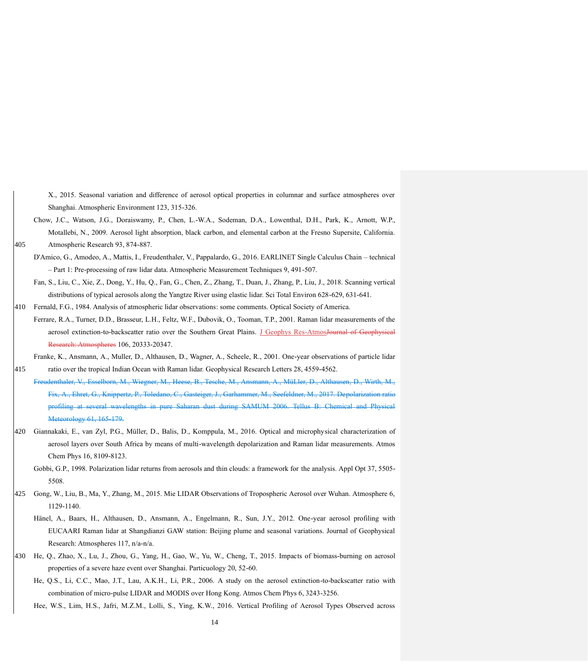X., 2015. Seasonal variation and difference of aerosol optical properties in columnar and surface atmospheres over Shanghai. Atmospheric Environment 123, 315-326.

Chow, J.C., Watson, J.G., Doraiswamy, P., Chen, L.-W.A., Sodeman, D.A., Lowenthal, D.H., Park, K., Arnott, W.P., Motallebi, N., 2009. Aerosol light absorption, black carbon, and elemental carbon at the Fresno Supersite, California. 405 Atmospheric Research 93, 874-887.

- D'Amico, G., Amodeo, A., Mattis, I., Freudenthaler, V., Pappalardo, G., 2016. EARLINET Single Calculus Chain technical – Part 1: Pre-processing of raw lidar data. Atmospheric Measurement Techniques 9, 491-507.
- Fan, S., Liu, C., Xie, Z., Dong, Y., Hu, Q., Fan, G., Chen, Z., Zhang, T., Duan, J., Zhang, P., Liu, J., 2018. Scanning vertical distributions of typical aerosols along the Yangtze River using elastic lidar. Sci Total Environ 628-629, 631-641.
- 410 Fernald, F.G., 1984. Analysis of atmospheric lidar observations: some comments. Optical Society of America.
- Ferrare, R.A., Turner, D.D., Brasseur, L.H., Feltz, W.F., Dubovik, O., Tooman, T.P., 2001. Raman lidar measurements of the aerosol extinction-to-backscatter ratio over the Southern Great Plains. J Geophys Res-AtmosJournal of Geophy Research: Atmospheres 106, 20333-20347.

Franke, K., Ansmann, A., Muller, D., Althausen, D., Wagner, A., Scheele, R., 2001. One-year observations of particle lidar 415 ratio over the tropical Indian Ocean with Raman lidar. Geophysical Research Letters 28, 4559-4562.

- Freudenthaler, V., Esselborn, M., Wiegner, M., Heese, B., Tesche, M., Ansmann, A., MüLler, D., Althausen, D., Wirth Fix, A., Ehret, G., Knippertz, P., Toledano, C., Gasteiger, J., Garhammer, M., Seefeldner, M., 2017. Depolarization profiling at several wavelengths in pure Saharan dust during SAMUM 2006. Tellu Meteorology 61, 165-179.
- 420 Giannakaki, E., van Zyl, P.G., Müller, D., Balis, D., Komppula, M., 2016. Optical and microphysical characterization of aerosol layers over South Africa by means of multi-wavelength depolarization and Raman lidar measurements. Atmos Chem Phys 16, 8109-8123.
	- Gobbi, G.P., 1998. Polarization lidar returns from aerosols and thin clouds: a framework for the analysis. Appl Opt 37, 5505- 5508.
- 425 Gong, W., Liu, B., Ma, Y., Zhang, M., 2015. Mie LIDAR Observations of Tropospheric Aerosol over Wuhan. Atmosphere 6, 1129-1140.
	- Hänel, A., Baars, H., Althausen, D., Ansmann, A., Engelmann, R., Sun, J.Y., 2012. One-year aerosol profiling with EUCAARI Raman lidar at Shangdianzi GAW station: Beijing plume and seasonal variations. Journal of Geophysical Research: Atmospheres 117, n/a-n/a.
- 430 He, Q., Zhao, X., Lu, J., Zhou, G., Yang, H., Gao, W., Yu, W., Cheng, T., 2015. Impacts of biomass-burning on aerosol properties of a severe haze event over Shanghai. Particuology 20, 52-60.
	- He, Q.S., Li, C.C., Mao, J.T., Lau, A.K.H., Li, P.R., 2006. A study on the aerosol extinction-to-backscatter ratio with combination of micro-pulse LIDAR and MODIS over Hong Kong. Atmos Chem Phys 6, 3243-3256.
	- Hee, W.S., Lim, H.S., Jafri, M.Z.M., Lolli, S., Ying, K.W., 2016. Vertical Profiling of Aerosol Types Observed across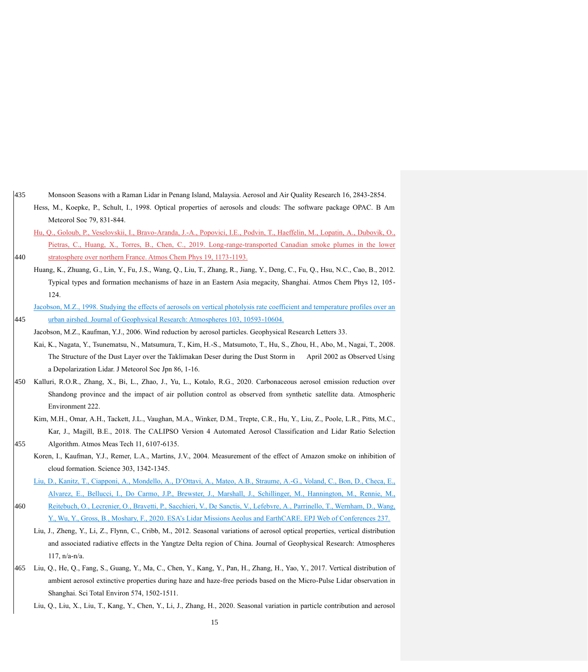- 435 Monsoon Seasons with a Raman Lidar in Penang Island, Malaysia. Aerosol and Air Quality Research 16, 2843-2854. Hess, M., Koepke, P., Schult, I., 1998. Optical properties of aerosols and clouds: The software package OPAC. B Am
	- Hu, Q., Goloub, P., Veselovskii, I., Bravo-Aranda, J.-A., Popovici, I.E., Podvin, T., Haeffelin, M., Lopatin, A., Dubovik, O., Pietras, C., Huang, X., Torres, B., Chen, C., 2019. Long-range-transported Canadian smoke plumes in the lower

440 stratosphere over northern France. Atmos Chem Phys 19, 1173-1193.

Meteorol Soc 79, 831-844.

- Huang, K., Zhuang, G., Lin, Y., Fu, J.S., Wang, Q., Liu, T., Zhang, R., Jiang, Y., Deng, C., Fu, Q., Hsu, N.C., Cao, B., 2012. Typical types and formation mechanisms of haze in an Eastern Asia megacity, Shanghai. Atmos Chem Phys 12, 105- 124.
- Jacobson, M.Z., 1998. Studying the effects of aerosols on vertical photolysis rate coefficient and temperature profiles over an 445 urban airshed. Journal of Geophysical Research: Atmospheres 103, 10593-10604.
- Jacobson, M.Z., Kaufman, Y.J., 2006. Wind reduction by aerosol particles. Geophysical Research Letters 33.
	- Kai, K., Nagata, Y., Tsunematsu, N., Matsumura, T., Kim, H.-S., Matsumoto, T., Hu, S., Zhou, H., Abo, M., Nagai, T., 2008. The Structure of the Dust Layer over the Taklimakan Deser during the Dust Storm in April 2002 as Observed Using a Depolarization Lidar. J Meteorol Soc Jpn 86, 1-16.
- 450 Kalluri, R.O.R., Zhang, X., Bi, L., Zhao, J., Yu, L., Kotalo, R.G., 2020. Carbonaceous aerosol emission reduction over Shandong province and the impact of air pollution control as observed from synthetic satellite data. Atmospheric Environment 222.
- Kim, M.H., Omar, A.H., Tackett, J.L., Vaughan, M.A., Winker, D.M., Trepte, C.R., Hu, Y., Liu, Z., Poole, L.R., Pitts, M.C., Kar, J., Magill, B.E., 2018. The CALIPSO Version 4 Automated Aerosol Classification and Lidar Ratio Selection 455 Algorithm. Atmos Meas Tech 11, 6107-6135.
	- Koren, I., Kaufman, Y.J., Remer, L.A., Martins, J.V., 2004. Measurement of the effect of Amazon smoke on inhibition of cloud formation. Science 303, 1342-1345.

Liu, D., Kanitz, T., Ciapponi, A., Mondello, A., D'Ottavi, A., Mateo, A.B., Straume, A.-G., Voland, C., Bon, D., Checa, E., Alvarez, E., Bellucci, I., Do Carmo, J.P., Brewster, J., Marshall, J., Schillinger, M., Hannington, M., Rennie, M., 460 Reitebuch, O., Lecrenier, O., Bravetti, P., Sacchieri, V., De Sanctis, V., Lefebvre, A., Parrinello, T., Wernham, D., Wang,

Y., Wu, Y., Gross, B., Moshary, F., 2020. ESA's Lidar Missions Aeolus and EarthCARE. EPJ Web of Conferences 237.

- Liu, J., Zheng, Y., Li, Z., Flynn, C., Cribb, M., 2012. Seasonal variations of aerosol optical properties, vertical distribution and associated radiative effects in the Yangtze Delta region of China. Journal of Geophysical Research: Atmospheres 117, n/a-n/a.
- 465 Liu, Q., He, Q., Fang, S., Guang, Y., Ma, C., Chen, Y., Kang, Y., Pan, H., Zhang, H., Yao, Y., 2017. Vertical distribution of ambient aerosol extinctive properties during haze and haze-free periods based on the Micro-Pulse Lidar observation in Shanghai. Sci Total Environ 574, 1502-1511.
	- Liu, Q., Liu, X., Liu, T., Kang, Y., Chen, Y., Li, J., Zhang, H., 2020. Seasonal variation in particle contribution and aerosol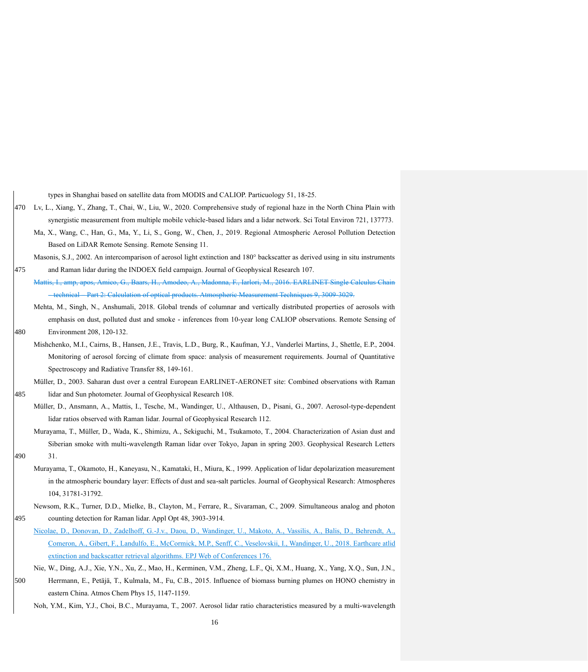|     | types in Shanghai based on satellite data from MODIS and CALIOP. Particuology 51, 18-25.                                       |
|-----|--------------------------------------------------------------------------------------------------------------------------------|
| 470 | Lv, L., Xiang, Y., Zhang, T., Chai, W., Liu, W., 2020. Comprehensive study of regional haze in the North China Plain with      |
|     | synergistic measurement from multiple mobile vehicle-based lidars and a lidar network. Sci Total Environ 721, 137773.          |
|     | Ma, X., Wang, C., Han, G., Ma, Y., Li, S., Gong, W., Chen, J., 2019. Regional Atmospheric Aerosol Pollution Detection          |
|     | Based on LiDAR Remote Sensing. Remote Sensing 11.                                                                              |
|     | Masonis, S.J., 2002. An intercomparison of aerosol light extinction and 180° backscatter as derived using in situ instruments  |
| 475 | and Raman lidar during the INDOEX field campaign. Journal of Geophysical Research 107.                                         |
|     | Mattis, I., amp, apos, Amico, G., Baars, H., Amodeo, A., Madonna, F., Iarlori, M., 2016. EARLINET Single Calculus Chain        |
|     | -technical Part 2: Calculation of optical products. Atmospheric Measurement Techniques 9, 3009-3029.                           |
|     | Mehta, M., Singh, N., Anshumali, 2018. Global trends of columnar and vertically distributed properties of aerosols with        |
|     | emphasis on dust, polluted dust and smoke - inferences from 10-year long CALIOP observations. Remote Sensing of                |
| 480 | Environment 208, 120-132.                                                                                                      |
|     | Mishchenko, M.I., Cairns, B., Hansen, J.E., Travis, L.D., Burg, R., Kaufman, Y.J., Vanderlei Martins, J., Shettle, E.P., 2004. |
|     | Monitoring of aerosol forcing of climate from space: analysis of measurement requirements. Journal of Quantitative             |
|     | Spectroscopy and Radiative Transfer 88, 149-161.                                                                               |
|     | Müller, D., 2003. Saharan dust over a central European EARLINET-AERONET site: Combined observations with Raman                 |
| 485 | lidar and Sun photometer. Journal of Geophysical Research 108.                                                                 |
|     | Müller, D., Ansmann, A., Mattis, I., Tesche, M., Wandinger, U., Althausen, D., Pisani, G., 2007. Aerosol-type-dependent        |
|     | lidar ratios observed with Raman lidar. Journal of Geophysical Research 112.                                                   |
|     | Murayama, T., Müller, D., Wada, K., Shimizu, A., Sekiguchi, M., Tsukamoto, T., 2004. Characterization of Asian dust and        |
|     | Siberian smoke with multi-wavelength Raman lidar over Tokyo, Japan in spring 2003. Geophysical Research Letters                |
| 490 | 31.                                                                                                                            |
|     | Murayama, T., Okamoto, H., Kaneyasu, N., Kamataki, H., Miura, K., 1999. Application of lidar depolarization measurement        |
|     | in the atmospheric boundary layer: Effects of dust and sea-salt particles. Journal of Geophysical Research: Atmospheres        |
|     | 104, 31781-31792.                                                                                                              |
|     | Newsom, R.K., Turner, D.D., Mielke, B., Clayton, M., Ferrare, R., Sivaraman, C., 2009. Simultaneous analog and photon          |
| 495 | counting detection for Raman lidar. Appl Opt 48, 3903-3914.                                                                    |
|     | Nicolae, D., Donovan, D., Zadelhoff, G.-J.v., Daou, D., Wandinger, U., Makoto, A., Vassilis, A., Balis, D., Behrendt, A.,      |
|     | Comeron, A., Gibert, F., Landulfo, E., McCormick, M.P., Senff, C., Veselovskii, I., Wandinger, U., 2018. Earthcare atlid       |
|     | extinction and backscatter retrieval algorithms. EPJ Web of Conferences 176.                                                   |
|     | Nie, W., Ding, A.J., Xie, Y.N., Xu, Z., Mao, H., Kerminen, V.M., Zheng, L.F., Qi, X.M., Huang, X., Yang, X.Q., Sun, J.N.,      |
| 500 | Herrmann, E., Petäjä, T., Kulmala, M., Fu, C.B., 2015. Influence of biomass burning plumes on HONO chemistry in                |
|     | eastern China. Atmos Chem Phys 15, 1147-1159.                                                                                  |

Noh, Y.M., Kim, Y.J., Choi, B.C., Murayama, T., 2007. Aerosol lidar ratio characteristics measured by a multi-wavelength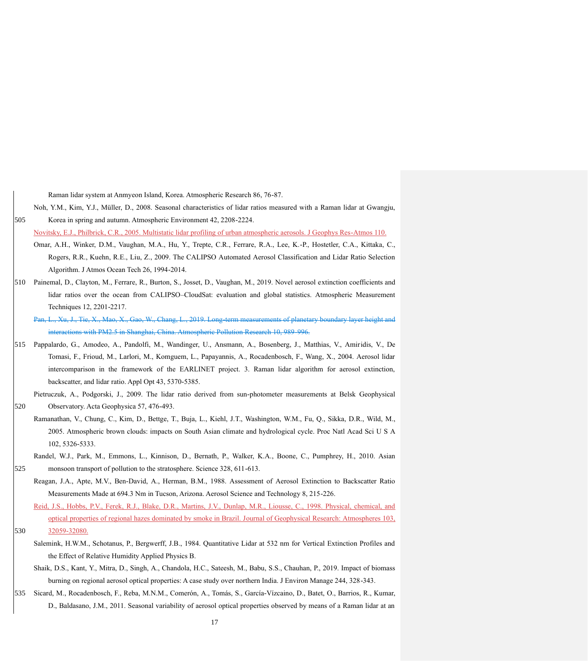Raman lidar system at Anmyeon Island, Korea. Atmospheric Research 86, 76-87.

Noh, Y.M., Kim, Y.J., Müller, D., 2008. Seasonal characteristics of lidar ratios measured with a Raman lidar at Gwangju, 505 Korea in spring and autumn. Atmospheric Environment 42, 2208-2224.

Novitsky, E.J., Philbrick, C.R., 2005. Multistatic lidar profiling of urban atmospheric aerosols. J Geophys Res-Atmos 110.

- Omar, A.H., Winker, D.M., Vaughan, M.A., Hu, Y., Trepte, C.R., Ferrare, R.A., Lee, K.-P., Hostetler, C.A., Kittaka, C., Rogers, R.R., Kuehn, R.E., Liu, Z., 2009. The CALIPSO Automated Aerosol Classification and Lidar Ratio Selection Algorithm. J Atmos Ocean Tech 26, 1994-2014.
- 510 Painemal, D., Clayton, M., Ferrare, R., Burton, S., Josset, D., Vaughan, M., 2019. Novel aerosol extinction coefficients and lidar ratios over the ocean from CALIPSO–CloudSat: evaluation and global statistics. Atmospheric Measurement Techniques 12, 2201-2217.

Pan, L., Xu, J., Tie, X., Mao, X., Gao, W., Chang, L., 2019. Long-term measurements of planetary boundary layer height and interactions with PM2.5 in Shanghai, China. Atmospheric Pollution Research 10, 989-996.

515 Pappalardo, G., Amodeo, A., Pandolfi, M., Wandinger, U., Ansmann, A., Bosenberg, J., Matthias, V., Amiridis, V., De Tomasi, F., Frioud, M., Larlori, M., Komguem, L., Papayannis, A., Rocadenbosch, F., Wang, X., 2004. Aerosol lidar intercomparison in the framework of the EARLINET project. 3. Raman lidar algorithm for aerosol extinction, backscatter, and lidar ratio. Appl Opt 43, 5370-5385.

Pietruczuk, A., Podgorski, J., 2009. The lidar ratio derived from sun-photometer measurements at Belsk Geophysical 520 Observatory. Acta Geophysica 57, 476-493.

Ramanathan, V., Chung, C., Kim, D., Bettge, T., Buja, L., Kiehl, J.T., Washington, W.M., Fu, Q., Sikka, D.R., Wild, M., 2005. Atmospheric brown clouds: impacts on South Asian climate and hydrological cycle. Proc Natl Acad Sci U S A 102, 5326-5333.

Randel, W.J., Park, M., Emmons, L., Kinnison, D., Bernath, P., Walker, K.A., Boone, C., Pumphrey, H., 2010. Asian

525 monsoon transport of pollution to the stratosphere. Science 328, 611-613.

Reagan, J.A., Apte, M.V., Ben-David, A., Herman, B.M., 1988. Assessment of Aerosol Extinction to Backscatter Ratio Measurements Made at 694.3 Nm in Tucson, Arizona. Aerosol Science and Technology 8, 215-226.

- Reid, J.S., Hobbs, P.V., Ferek, R.J., Blake, D.R., Martins, J.V., Dunlap, M.R., Liousse, C., 1998. Physical, chemical, and optical properties of regional hazes dominated by smoke in Brazil. Journal of Geophysical Research: Atmospheres 103, 530 32059-32080.
	- Salemink, H.W.M., Schotanus, P., Bergwerff, J.B., 1984. Quantitative Lidar at 532 nm for Vertical Extinction Profiles and the Effect of Relative Humidity Applied Physics B.
	- Shaik, D.S., Kant, Y., Mitra, D., Singh, A., Chandola, H.C., Sateesh, M., Babu, S.S., Chauhan, P., 2019. Impact of biomass burning on regional aerosol optical properties: A case study over northern India. J Environ Manage 244, 328-343.
- 535 Sicard, M., Rocadenbosch, F., Reba, M.N.M., Comerón, A., Tomás, S., García-Vízcaino, D., Batet, O., Barrios, R., Kumar, D., Baldasano, J.M., 2011. Seasonal variability of aerosol optical properties observed by means of a Raman lidar at an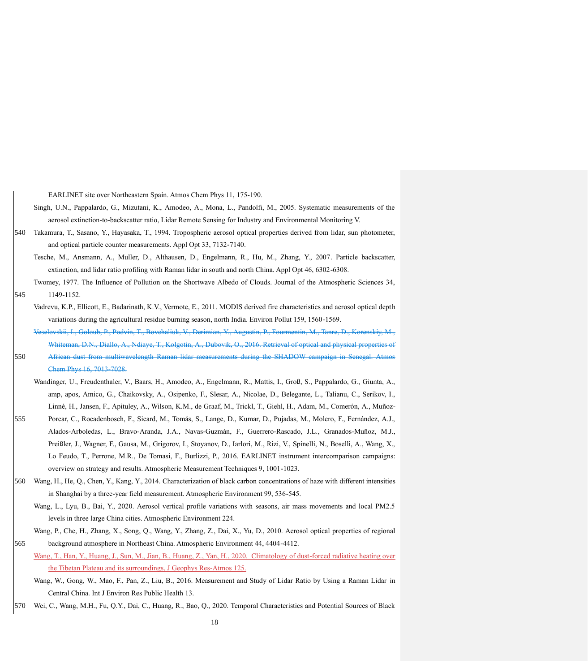EARLINET site over Northeastern Spain. Atmos Chem Phys 11, 175-190.

- Singh, U.N., Pappalardo, G., Mizutani, K., Amodeo, A., Mona, L., Pandolfi, M., 2005. Systematic measurements of the aerosol extinction-to-backscatter ratio, Lidar Remote Sensing for Industry and Environmental Monitoring V.
- 540 Takamura, T., Sasano, Y., Hayasaka, T., 1994. Tropospheric aerosol optical properties derived from lidar, sun photometer, and optical particle counter measurements. Appl Opt 33, 7132-7140.
	- Tesche, M., Ansmann, A., Muller, D., Althausen, D., Engelmann, R., Hu, M., Zhang, Y., 2007. Particle backscatter, extinction, and lidar ratio profiling with Raman lidar in south and north China. Appl Opt 46, 6302-6308.
- Twomey, 1977. The Influence of Pollution on the Shortwave Albedo of Clouds. Journal of the Atmospheric Sciences 34, 545 1149-1152.
	- Vadrevu, K.P., Ellicott, E., Badarinath, K.V., Vermote, E., 2011. MODIS derived fire characteristics and aerosol optical depth variations during the agricultural residue burning season, north India. Environ Pollut 159, 1560-1569. kkii, I., Goloub, P., Podvin, T., Bovchaliuk, V., Derimian, Y., Augustin,
- Whiteman, D.N., Diallo, A., Ndiaye, T., Kolgotin, A., Dubovik, O., 2016. Retrieval of optical and physical properties 550 African dust from multiwavelength Raman lidar measurements during the SHADOW campaign in Senegal. Atmos Chem Phys 16, 7013-7028.
- Wandinger, U., Freudenthaler, V., Baars, H., Amodeo, A., Engelmann, R., Mattis, I., Groß, S., Pappalardo, G., Giunta, A., amp, apos, Amico, G., Chaikovsky, A., Osipenko, F., Slesar, A., Nicolae, D., Belegante, L., Talianu, C., Serikov, I., Linné, H., Jansen, F., Apituley, A., Wilson, K.M., de Graaf, M., Trickl, T., Giehl, H., Adam, M., Comerón, A., Muñoz-
- 555 Porcar, C., Rocadenbosch, F., Sicard, M., Tomás, S., Lange, D., Kumar, D., Pujadas, M., Molero, F., Fernández, A.J., Alados-Arboledas, L., Bravo-Aranda, J.A., Navas-Guzmán, F., Guerrero-Rascado, J.L., Granados-Muñoz, M.J., Preißler, J., Wagner, F., Gausa, M., Grigorov, I., Stoyanov, D., Iarlori, M., Rizi, V., Spinelli, N., Boselli, A., Wang, X., Lo Feudo, T., Perrone, M.R., De Tomasi, F., Burlizzi, P., 2016. EARLINET instrument intercomparison campaigns: overview on strategy and results. Atmospheric Measurement Techniques 9, 1001-1023.
- 560 Wang, H., He, Q., Chen, Y., Kang, Y., 2014. Characterization of black carbon concentrations of haze with different intensities in Shanghai by a three-year field measurement. Atmospheric Environment 99, 536-545.
	- Wang, L., Lyu, B., Bai, Y., 2020. Aerosol vertical profile variations with seasons, air mass movements and local PM2.5 levels in three large China cities. Atmospheric Environment 224.
- Wang, P., Che, H., Zhang, X., Song, Q., Wang, Y., Zhang, Z., Dai, X., Yu, D., 2010. Aerosol optical properties of regional 565 background atmosphere in Northeast China. Atmospheric Environment 44, 4404-4412.
- Wang, T., Han, Y., Huang, J., Sun, M., Jian, B., Huang, Z., Yan, H., 2020. Climatology of dust-forced radiative heating over the Tibetan Plateau and its surroundings, J Geophys Res-Atmos 125.
	- Wang, W., Gong, W., Mao, F., Pan, Z., Liu, B., 2016. Measurement and Study of Lidar Ratio by Using a Raman Lidar in Central China. Int J Environ Res Public Health 13.
- 570 Wei, C., Wang, M.H., Fu, Q.Y., Dai, C., Huang, R., Bao, Q., 2020. Temporal Characteristics and Potential Sources of Black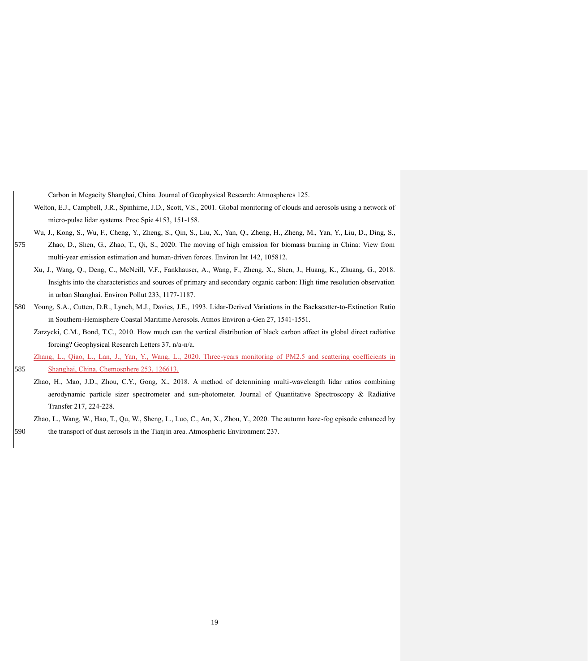Carbon in Megacity Shanghai, China. Journal of Geophysical Research: Atmospheres 125.

Welton, E.J., Campbell, J.R., Spinhirne, J.D., Scott, V.S., 2001. Global monitoring of clouds and aerosols using a network of micro-pulse lidar systems. Proc Spie 4153, 151-158.

Wu, J., Kong, S., Wu, F., Cheng, Y., Zheng, S., Qin, S., Liu, X., Yan, Q., Zheng, H., Zheng, M., Yan, Y., Liu, D., Ding, S.,

- 575 Zhao, D., Shen, G., Zhao, T., Qi, S., 2020. The moving of high emission for biomass burning in China: View from multi-year emission estimation and human-driven forces. Environ Int 142, 105812.
	- Xu, J., Wang, Q., Deng, C., McNeill, V.F., Fankhauser, A., Wang, F., Zheng, X., Shen, J., Huang, K., Zhuang, G., 2018. Insights into the characteristics and sources of primary and secondary organic carbon: High time resolution observation in urban Shanghai. Environ Pollut 233, 1177-1187.
- 580 Young, S.A., Cutten, D.R., Lynch, M.J., Davies, J.E., 1993. Lidar-Derived Variations in the Backscatter-to-Extinction Ratio in Southern-Hemisphere Coastal Maritime Aerosols. Atmos Environ a-Gen 27, 1541-1551.
	- Zarzycki, C.M., Bond, T.C., 2010. How much can the vertical distribution of black carbon affect its global direct radiative forcing? Geophysical Research Letters 37, n/a-n/a.

Zhang, L., Qiao, L., Lan, J., Yan, Y., Wang, L., 2020. Three-years monitoring of PM2.5 and scattering coefficients in

585 Shanghai, China. Chemosphere 253, 126613.

- Zhao, H., Mao, J.D., Zhou, C.Y., Gong, X., 2018. A method of determining multi-wavelength lidar ratios combining aerodynamic particle sizer spectrometer and sun-photometer. Journal of Quantitative Spectroscopy & Radiative Transfer 217, 224-228.
- Zhao, L., Wang, W., Hao, T., Qu, W., Sheng, L., Luo, C., An, X., Zhou, Y., 2020. The autumn haze-fog episode enhanced by 590 the transport of dust aerosols in the Tianjin area. Atmospheric Environment 237.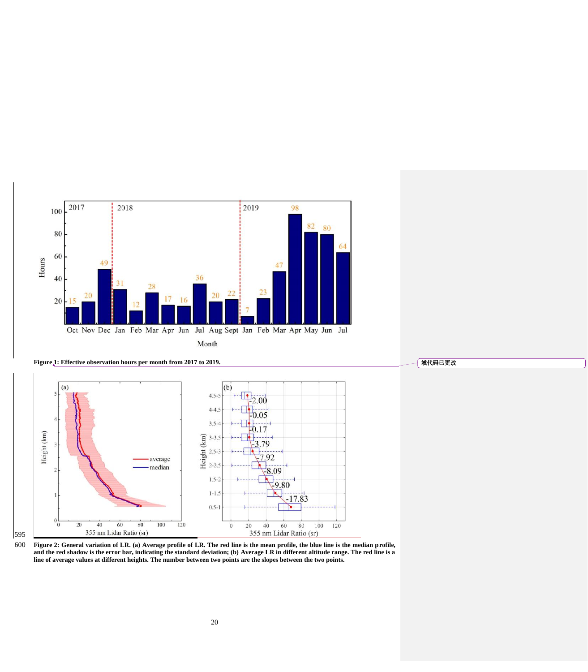

**Figure 1: Effective observation hours per month from 2017 to 2019.**





600 **Figure 2: General variation of LR. (a) Average profile of LR. The red line is the mean profile, the blue line is the median profile, and the red shadow is the error bar, indicating the standard deviation; (b) Average LR in different altitude range. The red line is a line of average values at different heights. The number between two points are the slopes between the two points.**

域代码已更改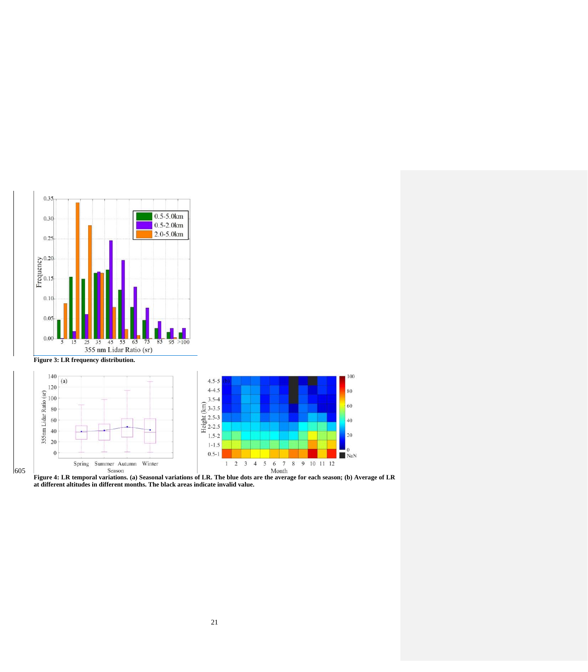



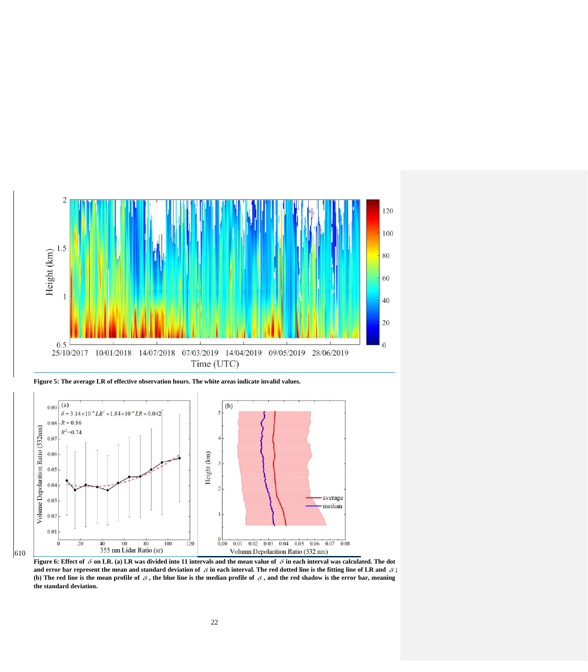

**Figure 5: The average LR of effective observation hours. The white areas indicate invalid values.**



**Figure 6: Effect of**  $\beta$  **on LR. (a) LR was divided into 11 intervals and the mean value of**  $\beta$  **in each interval was calculated. The dot** and error bar represent the mean and standard deviation of  $\delta$  in each interval. The red dotted line is the fitting line of LR and  $\delta$ ; (b) The red line is the mean profile of  $\delta$ , the blue line is the median profile of  $\delta$ , and the red shadow is the error bar, meaning **the standard deviation.**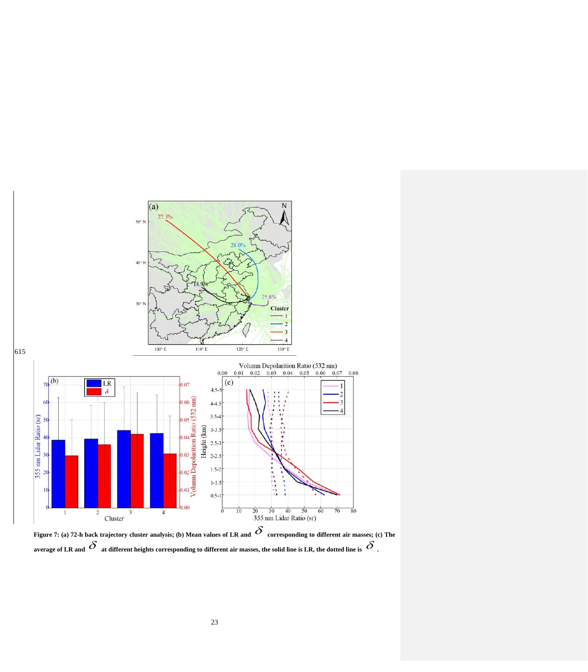

Figure 7: (a) 72-h back trajectory cluster analysis; (b) Mean values of LR and  $\,\mathcal{S}\,$  corresponding to different air masses; (c) The average of LR and  $\,\delta\,$  at different heights corresponding to different air masses, the solid line is LR, the dotted line is  $\,\delta\,$  .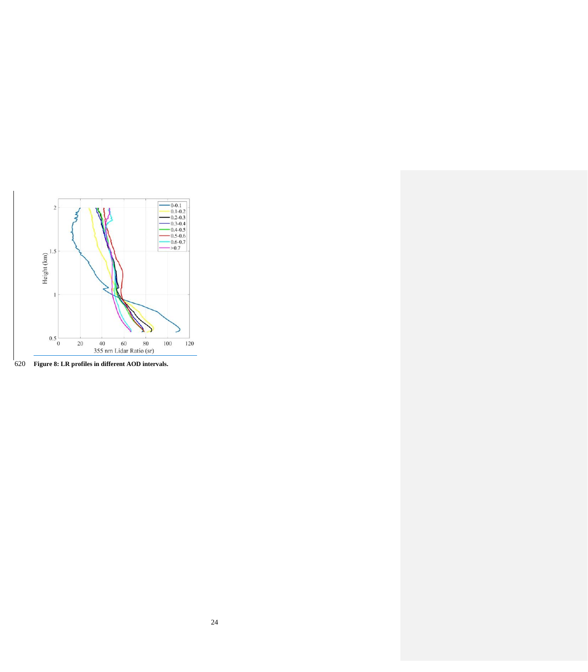

**Figure 8: LR profiles in different AOD intervals.**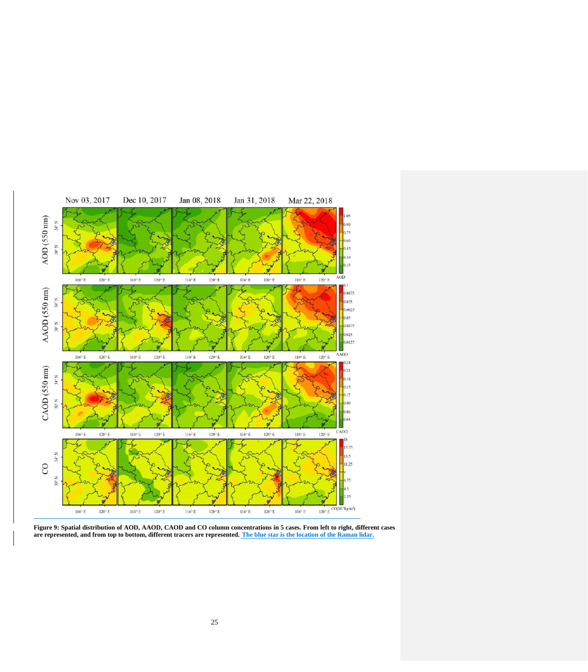

**Figure 9: Spatial distribution of AOD, AAOD, CAOD and CO column concentrations in 5 cases. From left to right, different cases are represented, and from top to bottom, different tracers are represented. The blue star is the location of the Raman lidar.**